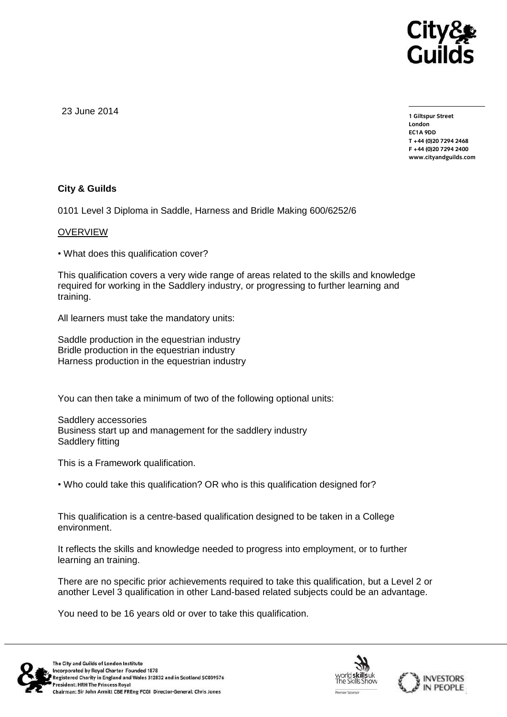

23 June 2014

**1 Giltspur Street EC1A 9DD** T +44 (0) 20 7 294 2468 **T +44 (0)20 7294 2468 F +44 (0)20 7294 2400 [www.cityandguilds.com](http://www.cityandguilds.com/)**

## **City & Guilds**

0101 Level 3 Diploma in Saddle, Harness and Bridle Making 600/6252/6

## OVERVIEW

• What does this qualification cover?

This qualification covers a very wide range of areas related to the skills and knowledge required for working in the Saddlery industry, or progressing to further learning and training.

All learners must take the mandatory units:

Saddle production in the equestrian industry Bridle production in the equestrian industry Harness production in the equestrian industry

You can then take a minimum of two of the following optional units:

Saddlery accessories Business start up and management for the saddlery industry Saddlery fitting

This is a Framework qualification.

• Who could take this qualification? OR who is this qualification designed for?

This qualification is a centre-based qualification designed to be taken in a College environment.

It reflects the skills and knowledge needed to progress into employment, or to further learning an training.

There are no specific prior achievements required to take this qualification, but a Level 2 or another Level 3 qualification in other Land-based related subjects could be an advantage.

You need to be 16 years old or over to take this qualification.